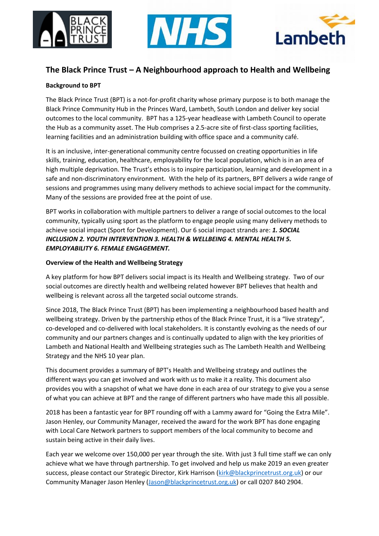





# **The Black Prince Trust – A Neighbourhood approach to Health and Wellbeing**

### **Background to BPT**

The Black Prince Trust (BPT) is a not-for-profit charity whose primary purpose is to both manage the Black Prince Community Hub in the Princes Ward, Lambeth, South London and deliver key social outcomes to the local community. BPT has a 125-year headlease with Lambeth Council to operate the Hub as a community asset. The Hub comprises a 2.5-acre site of first-class sporting facilities, learning facilities and an administration building with office space and a community café.

It is an inclusive, inter-generational community centre focussed on creating opportunities in life skills, training, education, healthcare, employability for the local population, which is in an area of high multiple deprivation. The Trust's ethos is to inspire participation, learning and development in a safe and non-discriminatory environment. With the help of its partners, BPT delivers a wide range of sessions and programmes using many delivery methods to achieve social impact for the community. Many of the sessions are provided free at the point of use.

BPT works in collaboration with multiple partners to deliver a range of social outcomes to the local community, typically using sport as the platform to engage people using many delivery methods to achieve social impact (Sport for Development). Our 6 social impact strands are: *1. SOCIAL INCLUSION 2. YOUTH INTERVENTION 3. HEALTH & WELLBEING 4. MENTAL HEALTH 5. EMPLOYABILITY 6. FEMALE ENGAGEMENT.* 

### **Overview of the Health and Wellbeing Strategy**

A key platform for how BPT delivers social impact is its Health and Wellbeing strategy. Two of our social outcomes are directly health and wellbeing related however BPT believes that health and wellbeing is relevant across all the targeted social outcome strands.

Since 2018, The Black Prince Trust (BPT) has been implementing a neighbourhood based health and wellbeing strategy. Driven by the partnership ethos of the Black Prince Trust, it is a "live strategy", co-developed and co-delivered with local stakeholders. It is constantly evolving as the needs of our community and our partners changes and is continually updated to align with the key priorities of Lambeth and National Health and Wellbeing strategies such as The Lambeth Health and Wellbeing Strategy and the NHS 10 year plan.

This document provides a summary of BPT's Health and Wellbeing strategy and outlines the different ways you can get involved and work with us to make it a reality. This document also provides you with a snapshot of what we have done in each area of our strategy to give you a sense of what you can achieve at BPT and the range of different partners who have made this all possible.

2018 has been a fantastic year for BPT rounding off with a Lammy award for "Going the Extra Mile". Jason Henley, our Community Manager, received the award for the work BPT has done engaging with Local Care Network partners to support members of the local community to become and sustain being active in their daily lives.

Each year we welcome over 150,000 per year through the site. With just 3 full time staff we can only achieve what we have through partnership. To get involved and help us make 2019 an even greater success, please contact our Strategic Director, Kirk Harrison [\(kirk@blackprincetrust.org.uk\)](mailto:kirk@blackprincetrust.org.uk) or our Community Manager Jason Henley [\(Jason@blackprincetrust.org.uk\)](mailto:Jason@blackprincetrust.org.uk) or call 0207 840 2904.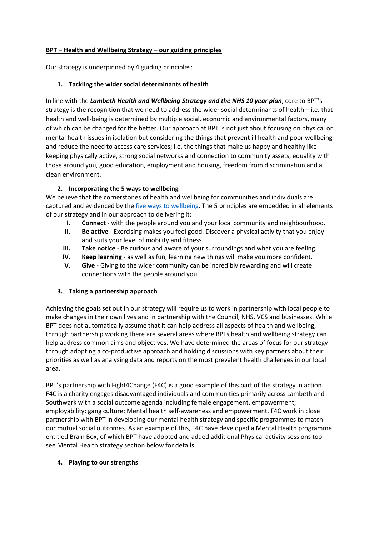### **BPT – Health and Wellbeing Strategy – our guiding principles**

Our strategy is underpinned by 4 guiding principles:

### **1. Tackling the wider social determinants of health**

In line with the *Lambeth Health and Wellbeing Strategy and the NHS 10 year plan*, core to BPT's strategy is the recognition that we need to address the wider social determinants of health – i.e. that health and well-being is determined by multiple social, economic and environmental factors, many of which can be changed for the better. Our approach at BPT is not just about focusing on physical or mental health issues in isolation but considering the things that prevent ill health and poor wellbeing and reduce the need to access care services; i.e. the things that make us happy and healthy like keeping physically active, strong social networks and connection to community assets, equality with those around you, good education, employment and housing, freedom from discrimination and a clean environment.

### **2. Incorporating the 5 ways to wellbeing**

We believe that the cornerstones of health and wellbeing for communities and individuals are captured and evidenced by the *five ways to wellbeing*. The 5 principles are embedded in all elements of our strategy and in our approach to delivering it:

- **I. Connect**  with the people around you and your local community and neighbourhood.
- **II. Be active** Exercising makes you feel good. Discover a physical activity that you enjoy and suits your level of mobility and fitness.
- **III. Take notice** Be curious and aware of your surroundings and what you are feeling.
- **IV. Keep learning**  as well as fun, learning new things will make you more confident.
- **V. Give**  Giving to the wider community can be incredibly rewarding and will create connections with the people around you.

### **3. Taking a partnership approach**

Achieving the goals set out in our strategy will require us to work in partnership with local people to make changes in their own lives and in partnership with the Council, NHS, VCS and businesses. While BPT does not automatically assume that it can help address all aspects of health and wellbeing, through partnership working there are several areas where BPTs health and wellbeing strategy can help address common aims and objectives. We have determined the areas of focus for our strategy through adopting a co-productive approach and holding discussions with key partners about their priorities as well as analysing data and reports on the most prevalent health challenges in our local area.

BPT's partnership with Fight4Change (F4C) is a good example of this part of the strategy in action. F4C is a charity engages disadvantaged individuals and communities primarily across Lambeth and Southwark with a social outcome agenda including female engagement, empowerment; employability; gang culture; Mental health self-awareness and empowerment. F4C work in close partnership with BPT in developing our mental health strategy and specific programmes to match our mutual social outcomes. As an example of this, F4C have developed a Mental Health programme entitled Brain Box, of which BPT have adopted and added additional Physical activity sessions too see Mental Health strategy section below for details.

### **4. Playing to our strengths**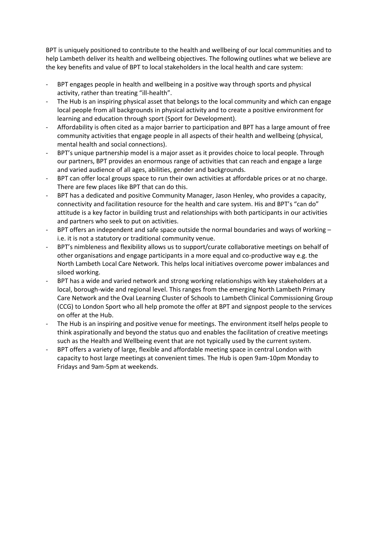BPT is uniquely positioned to contribute to the health and wellbeing of our local communities and to help Lambeth deliver its health and wellbeing objectives. The following outlines what we believe are the key benefits and value of BPT to local stakeholders in the local health and care system:

- BPT engages people in health and wellbeing in a positive way through sports and physical activity, rather than treating "ill-health".
- The Hub is an inspiring physical asset that belongs to the local community and which can engage local people from all backgrounds in physical activity and to create a positive environment for learning and education through sport (Sport for Development).
- Affordability is often cited as a major barrier to participation and BPT has a large amount of free community activities that engage people in all aspects of their health and wellbeing (physical, mental health and social connections).
- BPT's unique partnership model is a major asset as it provides choice to local people. Through our partners, BPT provides an enormous range of activities that can reach and engage a large and varied audience of all ages, abilities, gender and backgrounds.
- BPT can offer local groups space to run their own activities at affordable prices or at no charge. There are few places like BPT that can do this.
- BPT has a dedicated and positive Community Manager, Jason Henley, who provides a capacity, connectivity and facilitation resource for the health and care system. His and BPT's "can do" attitude is a key factor in building trust and relationships with both participants in our activities and partners who seek to put on activities.
- BPT offers an independent and safe space outside the normal boundaries and ways of working i.e. it is not a statutory or traditional community venue.
- BPT's nimbleness and flexibility allows us to support/curate collaborative meetings on behalf of other organisations and engage participants in a more equal and co-productive way e.g. the North Lambeth Local Care Network. This helps local initiatives overcome power imbalances and siloed working.
- BPT has a wide and varied network and strong working relationships with key stakeholders at a local, borough-wide and regional level. This ranges from the emerging North Lambeth Primary Care Network and the Oval Learning Cluster of Schools to Lambeth Clinical Commissioning Group (CCG) to London Sport who all help promote the offer at BPT and signpost people to the services on offer at the Hub.
- The Hub is an inspiring and positive venue for meetings. The environment itself helps people to think aspirationally and beyond the status quo and enables the facilitation of creative meetings such as the Health and Wellbeing event that are not typically used by the current system.
- BPT offers a variety of large, flexible and affordable meeting space in central London with capacity to host large meetings at convenient times. The Hub is open 9am-10pm Monday to Fridays and 9am-5pm at weekends.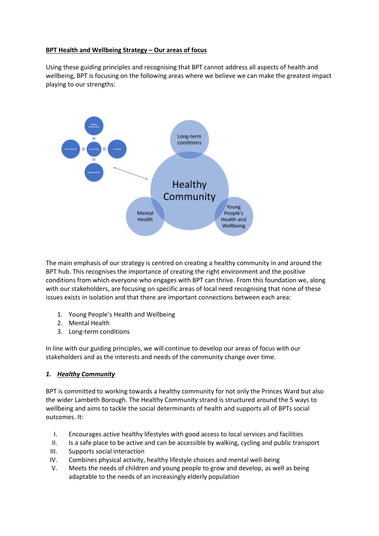### **BPT Health and Wellbeing Strategy – Our areas of focus**

Using these guiding principles and recognising that BPT cannot address all aspects of health and wellbeing, BPT is focusing on the following areas where we believe we can make the greatest impact playing to our strengths:



The main emphasis of our strategy is centred on creating a healthy community in and around the BPT hub. This recognises the importance of creating the right environment and the positive conditions from which everyone who engages with BPT can thrive. From this foundation we, along with our stakeholders, are focusing on specific areas of local need recognising that none of these issues exists in isolation and that there are important connections between each area:

- 1. Young People's Health and Wellbeing
- 2. Mental Health
- 3. Long-term conditions

In line with our guiding principles, we will continue to develop our areas of focus with our stakeholders and as the interests and needs of the community change over time.

#### *1. Healthy Community*

BPT is committed to working towards a healthy community for not only the Princes Ward but also the wider Lambeth Borough. The Healthy Community strand is structured around the 5 ways to wellbeing and aims to tackle the social determinants of health and supports all of BPTs social outcomes. It:

- I. Encourages active healthy lifestyles with good access to local services and facilities
- II. Is a safe place to be active and can be accessible by walking, cycling and public transport
- III. Supports social interaction
- IV. Combines physical activity, healthy lifestyle choices and mental well-being
- V. Meets the needs of children and young people to grow and develop, as well as being adaptable to the needs of an increasingly elderly population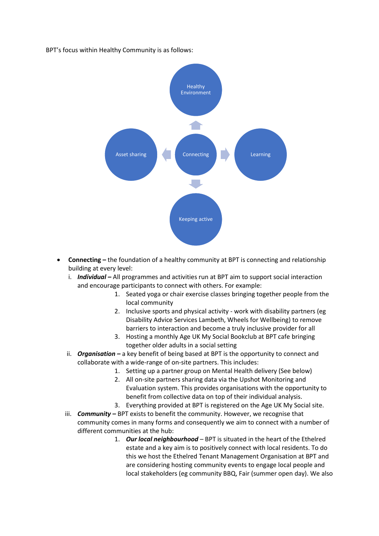#### BPT's focus within Healthy Community is as follows:



- **Connecting –** the foundation of a healthy community at BPT is connecting and relationship building at every level:
	- i. *Individual –* All programmes and activities run at BPT aim to support social interaction and encourage participants to connect with others. For example:
		- 1. Seated yoga or chair exercise classes bringing together people from the local community
		- 2. Inclusive sports and physical activity work with disability partners (eg Disability Advice Services Lambeth, Wheels for Wellbeing) to remove barriers to interaction and become a truly inclusive provider for all
		- 3. Hosting a monthly Age UK My Social Bookclub at BPT cafe bringing together older adults in a social setting
	- ii. *Organisation* a key benefit of being based at BPT is the opportunity to connect and collaborate with a wide-range of on-site partners. This includes:
		- 1. Setting up a partner group on Mental Health delivery (See below)
		- 2. All on-site partners sharing data via the Upshot Monitoring and Evaluation system. This provides organisations with the opportunity to benefit from collective data on top of their individual analysis.
		- 3. Everything provided at BPT is registered on the Age UK My Social site.
	- iii. **Community** BPT exists to benefit the community. However, we recognise that community comes in many forms and consequently we aim to connect with a number of different communities at the hub:
		- 1. *Our local neighbourhood* BPT is situated in the heart of the Ethelred estate and a key aim is to positively connect with local residents. To do this we host the Ethelred Tenant Management Organisation at BPT and are considering hosting community events to engage local people and local stakeholders (eg community BBQ, Fair (summer open day). We also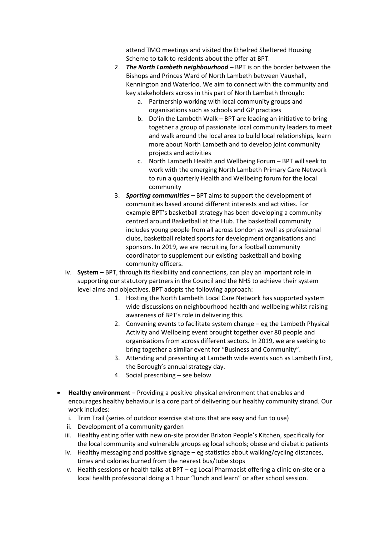attend TMO meetings and visited the Ethelred Sheltered Housing Scheme to talk to residents about the offer at BPT.

- 2. *The North Lambeth neighbourhood –* BPT is on the border between the Bishops and Princes Ward of North Lambeth between Vauxhall, Kennington and Waterloo. We aim to connect with the community and key stakeholders across in this part of North Lambeth through:
	- a. Partnership working with local community groups and organisations such as schools and GP practices
	- b. Do'in the Lambeth Walk BPT are leading an initiative to bring together a group of passionate local community leaders to meet and walk around the local area to build local relationships, learn more about North Lambeth and to develop joint community projects and activities
	- c. North Lambeth Health and Wellbeing Forum BPT will seek to work with the emerging North Lambeth Primary Care Network to run a quarterly Health and Wellbeing forum for the local community
- 3. *Sporting communities –* BPT aims to support the development of communities based around different interests and activities. For example BPT's basketball strategy has been developing a community centred around Basketball at the Hub. The basketball community includes young people from all across London as well as professional clubs, basketball related sports for development organisations and sponsors. In 2019, we are recruiting for a football community coordinator to supplement our existing basketball and boxing community officers.
- iv. **System** BPT, through its flexibility and connections, can play an important role in supporting our statutory partners in the Council and the NHS to achieve their system level aims and objectives. BPT adopts the following approach:
	- 1. Hosting the North Lambeth Local Care Network has supported system wide discussions on neighbourhood health and wellbeing whilst raising awareness of BPT's role in delivering this.
	- 2. Convening events to facilitate system change eg the Lambeth Physical Activity and Wellbeing event brought together over 80 people and organisations from across different sectors. In 2019, we are seeking to bring together a similar event for "Business and Community".
	- 3. Attending and presenting at Lambeth wide events such as Lambeth First, the Borough's annual strategy day.
	- 4. Social prescribing see below
- **Healthy environment** Providing a positive physical environment that enables and encourages healthy behaviour is a core part of delivering our healthy community strand. Our work includes:
	- i. Trim Trail (series of outdoor exercise stations that are easy and fun to use)
	- ii. Development of a community garden
	- iii. Healthy eating offer with new on-site provider Brixton People's Kitchen, specifically for the local community and vulnerable groups eg local schools; obese and diabetic patients
	- iv. Healthy messaging and positive signage eg statistics about walking/cycling distances, times and calories burned from the nearest bus/tube stops
	- v. Health sessions or health talks at BPT eg Local Pharmacist offering a clinic on-site or a local health professional doing a 1 hour "lunch and learn" or after school session.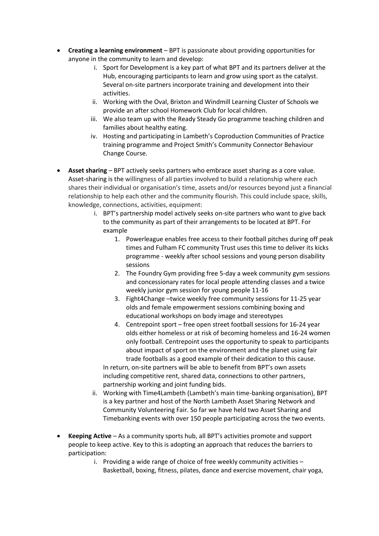- **Creating a learning environment** BPT is passionate about providing opportunities for anyone in the community to learn and develop:
	- i. Sport for Development is a key part of what BPT and its partners deliver at the Hub, encouraging participants to learn and grow using sport as the catalyst. Several on-site partners incorporate training and development into their activities.
	- ii. Working with the Oval, Brixton and Windmill Learning Cluster of Schools we provide an after school Homework Club for local children.
	- iii. We also team up with the Ready Steady Go programme teaching children and families about healthy eating.
	- iv. Hosting and participating in Lambeth's Coproduction Communities of Practice training programme and Project Smith's Community Connector Behaviour Change Course.
- **Asset sharing** BPT actively seeks partners who embrace asset sharing as a core value. Asset-sharing is the willingness of all parties involved to build a relationship where each shares their individual or organisation's time, assets and/or resources beyond just a financial relationship to help each other and the community flourish. This could include space, skills, knowledge, connections, activities, equipment:
	- i. BPT's partnership model actively seeks on-site partners who want to give back to the community as part of their arrangements to be located at BPT. For example
		- 1. Powerleague enables free access to their football pitches during off peak times and Fulham FC community Trust uses this time to deliver its kicks programme - weekly after school sessions and young person disability sessions
		- 2. The Foundry Gym providing free 5-day a week community gym sessions and concessionary rates for local people attending classes and a twice weekly junior gym session for young people 11-16
		- 3. Fight4Change –twice weekly free community sessions for 11-25 year olds and female empowerment sessions combining boxing and educational workshops on body image and stereotypes
		- 4. Centrepoint sport free open street football sessions for 16-24 year olds either homeless or at risk of becoming homeless and 16-24 women only football. Centrepoint uses the opportunity to speak to participants about impact of sport on the environment and the planet using fair trade footballs as a good example of their dedication to this cause.

In return, on-site partners will be able to benefit from BPT's own assets including competitive rent, shared data, connections to other partners, partnership working and joint funding bids.

- ii. Working with Time4Lambeth (Lambeth's main time-banking organisation), BPT is a key partner and host of the North Lambeth Asset Sharing Network and Community Volunteering Fair. So far we have held two Asset Sharing and Timebanking events with over 150 people participating across the two events.
- **Keeping Active** As a community sports hub, all BPT's activities promote and support people to keep active. Key to this is adopting an approach that reduces the barriers to participation:
	- i. Providing a wide range of choice of free weekly community activities Basketball, boxing, fitness, pilates, dance and exercise movement, chair yoga,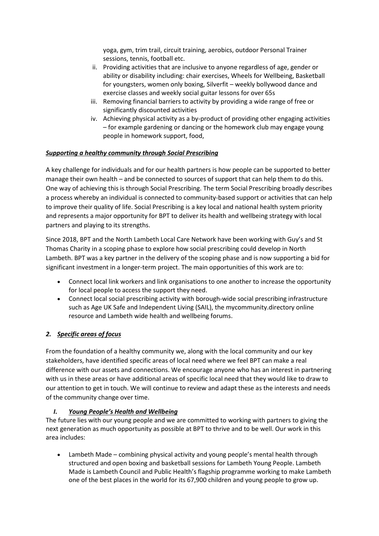yoga, gym, trim trail, circuit training, aerobics, outdoor Personal Trainer sessions, tennis, football etc.

- ii. Providing activities that are inclusive to anyone regardless of age, gender or ability or disability including: chair exercises, Wheels for Wellbeing, Basketball for youngsters, women only boxing, Silverfit – weekly bollywood dance and exercise classes and weekly social guitar lessons for over 65s
- iii. Removing financial barriers to activity by providing a wide range of free or significantly discounted activities
- iv. Achieving physical activity as a by-product of providing other engaging activities – for example gardening or dancing or the homework club may engage young people in homework support, food,

### *Supporting a healthy community through Social Prescribing*

A key challenge for individuals and for our health partners is how people can be supported to better manage their own health – and be connected to sources of support that can help them to do this. One way of achieving this is through Social Prescribing. The term Social Prescribing broadly describes a process whereby an individual is connected to community-based support or activities that can help to improve their quality of life. Social Prescribing is a key local and national health system priority and represents a major opportunity for BPT to deliver its health and wellbeing strategy with local partners and playing to its strengths.

Since 2018, BPT and the North Lambeth Local Care Network have been working with Guy's and St Thomas Charity in a scoping phase to explore how social prescribing could develop in North Lambeth. BPT was a key partner in the delivery of the scoping phase and is now supporting a bid for significant investment in a longer-term project. The main opportunities of this work are to:

- Connect local link workers and link organisations to one another to increase the opportunity for local people to access the support they need.
- Connect local social prescribing activity with borough-wide social prescribing infrastructure such as Age UK Safe and Independent Living (SAIL), the mycommunity.directory online resource and Lambeth wide health and wellbeing forums.

# *2. Specific areas of focus*

From the foundation of a healthy community we, along with the local community and our key stakeholders, have identified specific areas of local need where we feel BPT can make a real difference with our assets and connections. We encourage anyone who has an interest in partnering with us in these areas or have additional areas of specific local need that they would like to draw to our attention to get in touch. We will continue to review and adapt these as the interests and needs of the community change over time.

### *I. Young People's Health and Wellbeing*

The future lies with our young people and we are committed to working with partners to giving the next generation as much opportunity as possible at BPT to thrive and to be well. Our work in this area includes:

• Lambeth Made – combining physical activity and young people's mental health through structured and open boxing and basketball sessions for Lambeth Young People. Lambeth Made is Lambeth Council and Public Health's flagship programme working to make Lambeth one of the best places in the world for its 67,900 children and young people to grow up.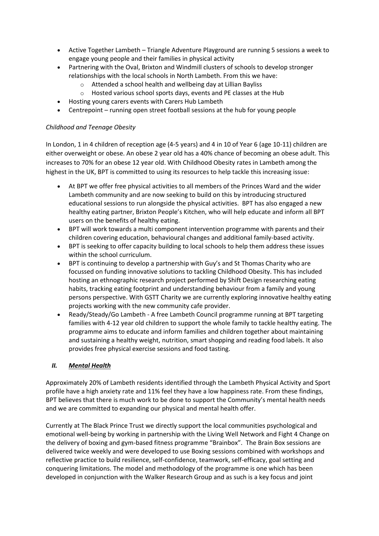- Active Together Lambeth Triangle Adventure Playground are running 5 sessions a week to engage young people and their families in physical activity
- Partnering with the Oval, Brixton and Windmill clusters of schools to develop stronger relationships with the local schools in North Lambeth. From this we have:
	- o Attended a school health and wellbeing day at Lillian Bayliss
	- o Hosted various school sports days, events and PE classes at the Hub
- Hosting young carers events with Carers Hub Lambeth
- Centrepoint running open street football sessions at the hub for young people

### *Childhood and Teenage Obesity*

In London, 1 in 4 children of reception age (4-5 years) and 4 in 10 of Year 6 (age 10-11) children are either overweight or obese. An obese 2 year old has a 40% chance of becoming an obese adult. This increases to 70% for an obese 12 year old. With Childhood Obesity rates in Lambeth among the highest in the UK, BPT is committed to using its resources to help tackle this increasing issue:

- At BPT we offer free physical activities to all members of the Princes Ward and the wider Lambeth community and are now seeking to build on this by introducing structured educational sessions to run alongside the physical activities. BPT has also engaged a new healthy eating partner, Brixton People's Kitchen, who will help educate and inform all BPT users on the benefits of healthy eating.
- BPT will work towards a multi component intervention programme with parents and their children covering education, behavioural changes and additional family-based activity.
- BPT is seeking to offer capacity building to local schools to help them address these issues within the school curriculum.
- BPT is continuing to develop a partnership with Guy's and St Thomas Charity who are focussed on funding innovative solutions to tackling Childhood Obesity. This has included hosting an ethnographic research project performed by Shift Design researching eating habits, tracking eating footprint and understanding behaviour from a family and young persons perspective. With GSTT Charity we are currently exploring innovative healthy eating projects working with the new community cafe provider.
- Ready/Steady/Go Lambeth A free Lambeth Council programme running at BPT targeting families with 4-12 year old children to support the whole family to tackle healthy eating. The programme aims to educate and inform families and children together about maintaining and sustaining a healthy weight, nutrition, smart shopping and reading food labels. It also provides free physical exercise sessions and food tasting.

### *II. Mental Health*

Approximately 20% of Lambeth residents identified through the Lambeth Physical Activity and Sport profile have a high anxiety rate and 11% feel they have a low happiness rate. From these findings, BPT believes that there is much work to be done to support the Community's mental health needs and we are committed to expanding our physical and mental health offer.

Currently at The Black Prince Trust we directly support the local communities psychological and emotional well-being by working in partnership with the Living Well Network and Fight 4 Change on the delivery of boxing and gym-based fitness programme "Brainbox". The Brain Box sessions are delivered twice weekly and were developed to use Boxing sessions combined with workshops and reflective practice to build resilience, self-confidence, teamwork, self-efficacy, goal setting and conquering limitations. The model and methodology of the programme is one which has been developed in conjunction with the Walker Research Group and as such is a key focus and joint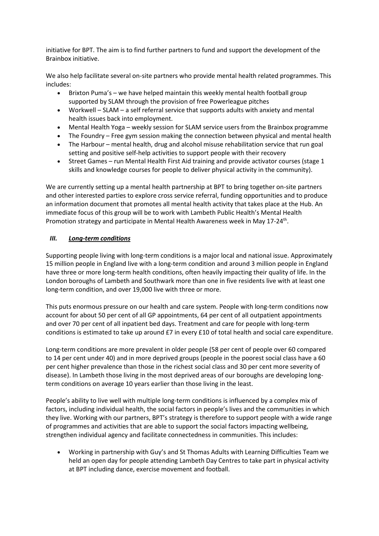initiative for BPT. The aim is to find further partners to fund and support the development of the Brainbox initiative.

We also help facilitate several on-site partners who provide mental health related programmes. This includes:

- Brixton Puma's we have helped maintain this weekly mental health football group supported by SLAM through the provision of free Powerleague pitches
- Workwell SLAM a self referral service that supports adults with anxiety and mental health issues back into employment.
- Mental Health Yoga weekly session for SLAM service users from the Brainbox programme
- The Foundry Free gym session making the connection between physical and mental health
- The Harbour mental health, drug and alcohol misuse rehabilitation service that run goal setting and positive self-help activities to support people with their recovery
- Street Games run Mental Health First Aid training and provide activator courses (stage 1 skills and knowledge courses for people to deliver physical activity in the community).

We are currently setting up a mental health partnership at BPT to bring together on-site partners and other interested parties to explore cross service referral, funding opportunities and to produce an information document that promotes all mental health activity that takes place at the Hub. An immediate focus of this group will be to work with Lambeth Public Health's Mental Health Promotion strategy and participate in Mental Health Awareness week in May 17-24<sup>th</sup>.

### *III. Long-term conditions*

Supporting people living with long-term conditions is a major local and national issue. Approximately 15 million people in England live with a long-term condition and around 3 million people in England have three or more long-term health conditions, often heavily impacting their quality of life. In the London boroughs of Lambeth and Southwark more than one in five residents live with at least one long-term condition, and over 19,000 live with three or more.

This puts enormous pressure on our health and care system. People with long-term conditions now account for about 50 per cent of all GP appointments, 64 per cent of all outpatient appointments and over 70 per cent of all inpatient bed days. Treatment and care for people with long-term conditions is estimated to take up around £7 in every £10 of total health and social care expenditure.

Long-term conditions are more prevalent in older people (58 per cent of people over 60 compared to 14 per cent under 40) and in more deprived groups (people in the poorest social class have a 60 per cent higher prevalence than those in the richest social class and 30 per cent more severity of disease). In Lambeth those living in the most deprived areas of our boroughs are developing longterm conditions on average 10 years earlier than those living in the least.

People's ability to live well with multiple long-term conditions is influenced by a complex mix of factors, including individual health, the social factors in people's lives and the communities in which they live. Working with our partners, BPT's strategy is therefore to support people with a wide range of programmes and activities that are able to support the social factors impacting wellbeing, strengthen individual agency and facilitate connectedness in communities. This includes:

• Working in partnership with Guy's and St Thomas Adults with Learning Difficulties Team we held an open day for people attending Lambeth Day Centres to take part in physical activity at BPT including dance, exercise movement and football.